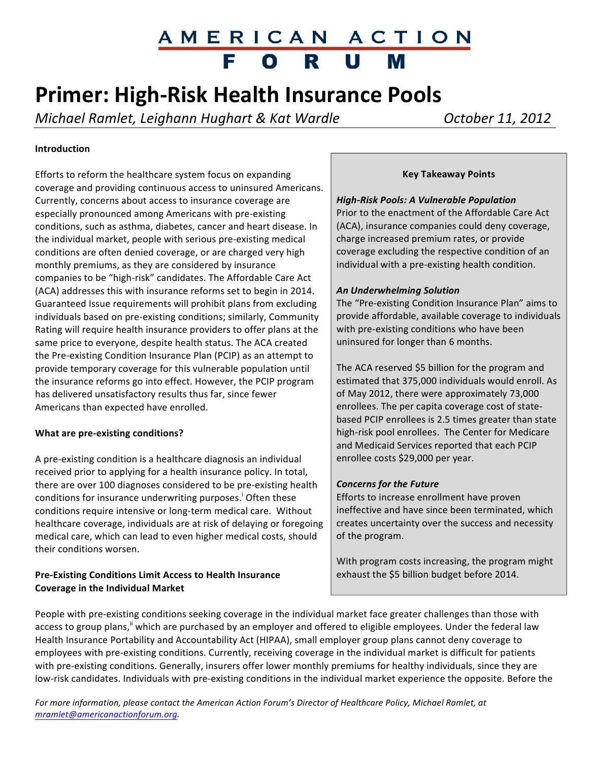# AMERICAN ACTION<br>FORUM

### **Primer: High-Risk Health Insurance Pools**

*Michael Ramlet, Leighann Hughart & Kat Wardle Charle <b>Cancel Cortober 11, 2012* 

#### **Introduction**

Efforts to reform the healthcare system focus on expanding coverage and providing continuous access to uninsured Americans. Currently, concerns about access to insurance coverage are especially pronounced among Americans with pre-existing conditions, such as asthma, diabetes, cancer and heart disease. In the individual market, people with serious pre-existing medical conditions are often denied coverage, or are charged very high monthly premiums, as they are considered by insurance companies to be "high-risk" candidates. The Affordable Care Act (ACA) addresses this with insurance reforms set to begin in 2014. Guaranteed Issue requirements will prohibit plans from excluding individuals based on pre-existing conditions; similarly, Community Rating will require health insurance providers to offer plans at the same price to everyone, despite health status. The ACA created the Pre-existing Condition Insurance Plan (PCIP) as an attempt to provide temporary coverage for this vulnerable population until the insurance reforms go into effect. However, the PCIP program has delivered unsatisfactory results thus far, since fewer Americans than expected have enrolled.

#### **What are pre-existing conditions?**

A pre-existing condition is a healthcare diagnosis an individual received prior to applying for a health insurance policy. In total, there are over 100 diagnoses considered to be pre-existing health conditions for insurance underwriting purposes.<sup>1</sup> Often these conditions require intensive or long-term medical care. Without healthcare coverage, individuals are at risk of delaying or foregoing medical care, which can lead to even higher medical costs, should their conditions worsen.

#### **Pre-Existing Conditions Limit Access to Health Insurance Coverage in the Individual Market**

#### **Key Takeaway Points**

#### *High-Risk Pools: A Vulnerable Population*

Prior to the enactment of the Affordable Care Act (ACA), insurance companies could deny coverage, charge increased premium rates, or provide coverage excluding the respective condition of an individual with a pre-existing health condition.

#### *An Underwhelming Solution*

The "Pre-existing Condition Insurance Plan" aims to provide affordable, available coverage to individuals with pre-existing conditions who have been uninsured for longer than 6 months.

The ACA reserved \$5 billion for the program and estimated that 375,000 individuals would enroll. As of May 2012, there were approximately 73,000 enrollees. The per capita coverage cost of statebased PCIP enrollees is 2.5 times greater than state high-risk pool enrollees. The Center for Medicare and Medicaid Services reported that each PCIP enrollee costs \$29,000 per year.

#### *Concerns for the Future*

Efforts to increase enrollment have proven ineffective and have since been terminated, which creates uncertainty over the success and necessity of the program.

With program costs increasing, the program might exhaust the \$5 billion budget before 2014.

People with pre-existing conditions seeking coverage in the individual market face greater challenges than those with access to group plans,<sup>"</sup> which are purchased by an employer and offered to eligible employees. Under the federal law Health Insurance Portability and Accountability Act (HIPAA), small employer group plans cannot deny coverage to employees with pre-existing conditions. Currently, receiving coverage in the individual market is difficult for patients with pre-existing conditions. Generally, insurers offer lower monthly premiums for healthy individuals, since they are low-risk candidates. Individuals with pre-existing conditions in the individual market experience the opposite. Before the

For more information, please contact the American Action Forum's Director of Healthcare Policy, Michael Ramlet, at *mramlet@americanactionforum.org.*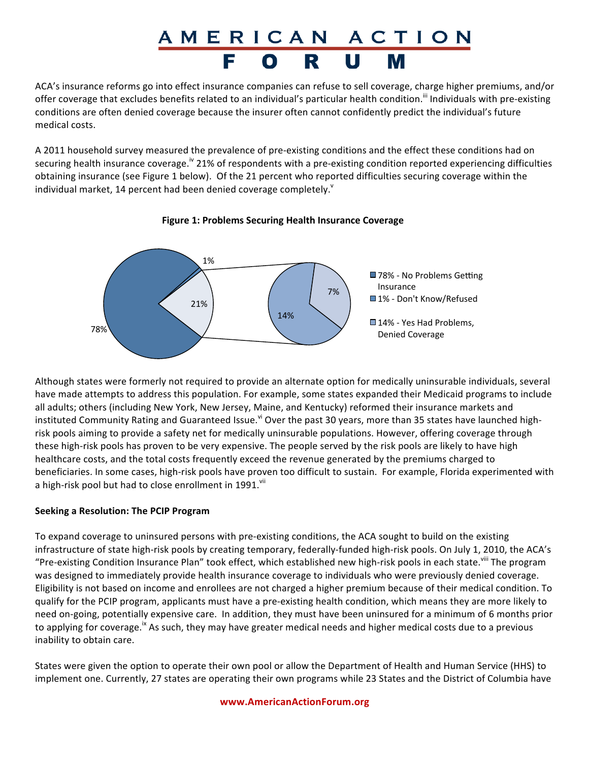# <u>AMERICAN ACTION</u>

ACA's insurance reforms go into effect insurance companies can refuse to sell coverage, charge higher premiums, and/or offer coverage that excludes benefits related to an individual's particular health condition.<sup>""</sup> Individuals with pre-existing conditions are often denied coverage because the insurer often cannot confidently predict the individual's future medical costs.

A 2011 household survey measured the prevalence of pre-existing conditions and the effect these conditions had on securing health insurance coverage.<sup>iv</sup> 21% of respondents with a pre-existing condition reported experiencing difficulties obtaining insurance (see Figure 1 below). Of the 21 percent who reported difficulties securing coverage within the individual market, 14 percent had been denied coverage completely. $\mathbf{v}^{\mathsf{v}}$ 



#### **Figure 1: Problems Securing Health Insurance Coverage**

Although states were formerly not required to provide an alternate option for medically uninsurable individuals, several have made attempts to address this population. For example, some states expanded their Medicaid programs to include all adults; others (including New York, New Jersey, Maine, and Kentucky) reformed their insurance markets and instituted Community Rating and Guaranteed Issue.<sup>vi</sup> Over the past 30 years, more than 35 states have launched highrisk pools aiming to provide a safety net for medically uninsurable populations. However, offering coverage through these high-risk pools has proven to be very expensive. The people served by the risk pools are likely to have high healthcare costs, and the total costs frequently exceed the revenue generated by the premiums charged to beneficiaries. In some cases, high-risk pools have proven too difficult to sustain. For example, Florida experimented with a high-risk pool but had to close enrollment in 1991. $^{\text{vi}}$ 

#### **Seeking a Resolution: The PCIP Program**

To expand coverage to uninsured persons with pre-existing conditions, the ACA sought to build on the existing infrastructure of state high-risk pools by creating temporary, federally-funded high-risk pools. On July 1, 2010, the ACA's "Pre-existing Condition Insurance Plan" took effect, which established new high-risk pools in each state.<sup>viii</sup> The program was designed to immediately provide health insurance coverage to individuals who were previously denied coverage. Eligibility is not based on income and enrollees are not charged a higher premium because of their medical condition. To qualify for the PCIP program, applicants must have a pre-existing health condition, which means they are more likely to need on-going, potentially expensive care. In addition, they must have been uninsured for a minimum of 6 months prior to applying for coverage.<sup>ix</sup> As such, they may have greater medical needs and higher medical costs due to a previous inability to obtain care.

States were given the option to operate their own pool or allow the Department of Health and Human Service (HHS) to implement one. Currently, 27 states are operating their own programs while 23 States and the District of Columbia have

#### **www.AmericanActionForum.org**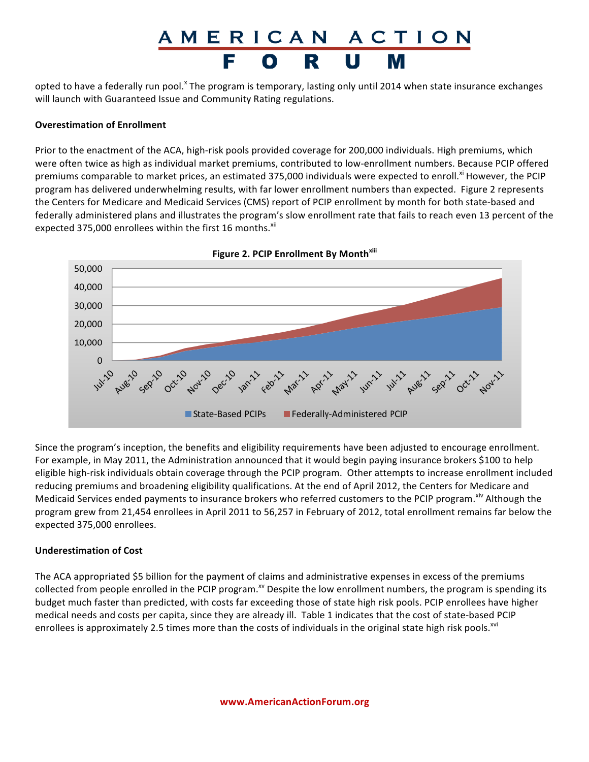### AMERICAN ACTION U

opted to have a federally run pool.<sup>x</sup> The program is temporary, lasting only until 2014 when state insurance exchanges will launch with Guaranteed Issue and Community Rating regulations.

#### **Overestimation of Enrollment**

Prior to the enactment of the ACA, high-risk pools provided coverage for 200,000 individuals. High premiums, which were often twice as high as individual market premiums, contributed to low-enrollment numbers. Because PCIP offered premiums comparable to market prices, an estimated 375,000 individuals were expected to enroll.<sup>xi</sup> However, the PCIP program has delivered underwhelming results, with far lower enrollment numbers than expected. Figure 2 represents the Centers for Medicare and Medicaid Services (CMS) report of PCIP enrollment by month for both state-based and federally administered plans and illustrates the program's slow enrollment rate that fails to reach even 13 percent of the expected 375,000 enrollees within the first 16 months. $^{xii}$ 



**Figure 2. PCIP Enrollment By Month<sup>xiii</sup>** 

Since the program's inception, the benefits and eligibility requirements have been adjusted to encourage enrollment. For example, in May 2011, the Administration announced that it would begin paying insurance brokers \$100 to help eligible high-risk individuals obtain coverage through the PCIP program. Other attempts to increase enrollment included reducing premiums and broadening eligibility qualifications. At the end of April 2012, the Centers for Medicare and Medicaid Services ended payments to insurance brokers who referred customers to the PCIP program. <sup>xiv</sup> Although the program grew from 21,454 enrollees in April 2011 to 56,257 in February of 2012, total enrollment remains far below the expected 375,000 enrollees.

#### **Underestimation of Cost**

The ACA appropriated \$5 billion for the payment of claims and administrative expenses in excess of the premiums collected from people enrolled in the PCIP program.<sup>xv</sup> Despite the low enrollment numbers, the program is spending its budget much faster than predicted, with costs far exceeding those of state high risk pools. PCIP enrollees have higher medical needs and costs per capita, since they are already ill. Table 1 indicates that the cost of state-based PCIP enrollees is approximately 2.5 times more than the costs of individuals in the original state high risk pools.<sup>xvi</sup>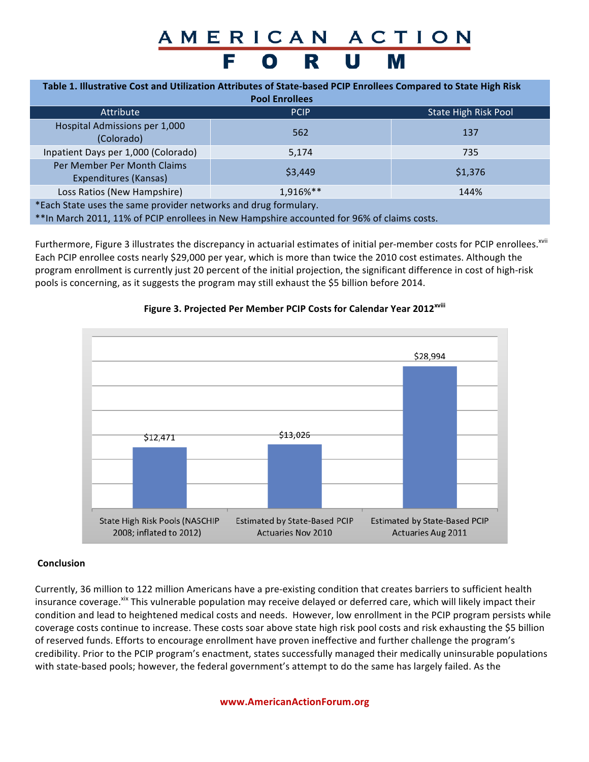### AMERICAN ACTION FORU

| Table 1. Illustrative Cost and Utilization Attributes of State-based PCIP Enrollees Compared to State High Risk<br><b>Pool Enrollees</b>                       |             |                      |
|----------------------------------------------------------------------------------------------------------------------------------------------------------------|-------------|----------------------|
| <b>Attribute</b>                                                                                                                                               | <b>PCIP</b> | State High Risk Pool |
| Hospital Admissions per 1,000<br>(Colorado)                                                                                                                    | 562         | 137                  |
| Inpatient Days per 1,000 (Colorado)                                                                                                                            | 5,174       | 735                  |
| Per Member Per Month Claims<br>Expenditures (Kansas)                                                                                                           | \$3,449     | \$1,376              |
| Loss Ratios (New Hampshire)                                                                                                                                    | 1,916%**    | 144%                 |
| *Each State uses the same provider networks and drug formulary.<br>** In March 2011, 11% of PCIP enrollees in New Hampshire accounted for 96% of claims costs. |             |                      |

Furthermore, Figure 3 illustrates the discrepancy in actuarial estimates of initial per-member costs for PCIP enrollees.<sup>xvii</sup> Each PCIP enrollee costs nearly \$29,000 per year, which is more than twice the 2010 cost estimates. Although the program enrollment is currently just 20 percent of the initial projection, the significant difference in cost of high-risk pools is concerning, as it suggests the program may still exhaust the \$5 billion before 2014.



#### **Figure 3. Projected Per Member PCIP Costs for Calendar Year 2012<sup>xviii</sup>**

#### **Conclusion**

Currently, 36 million to 122 million Americans have a pre-existing condition that creates barriers to sufficient health insurance coverage.<sup>xix</sup> This vulnerable population may receive delayed or deferred care, which will likely impact their condition and lead to heightened medical costs and needs. However, low enrollment in the PCIP program persists while coverage costs continue to increase. These costs soar above state high risk pool costs and risk exhausting the \$5 billion of reserved funds. Efforts to encourage enrollment have proven ineffective and further challenge the program's credibility. Prior to the PCIP program's enactment, states successfully managed their medically uninsurable populations with state-based pools; however, the federal government's attempt to do the same has largely failed. As the